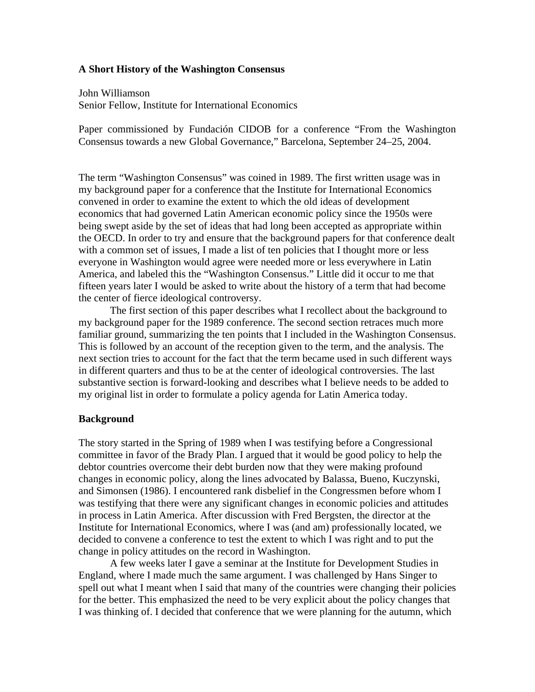## **A Short History of the Washington Consensus**

John Williamson Senior Fellow, Institute for International Economics

Paper commissioned by Fundación CIDOB for a conference "From the Washington Consensus towards a new Global Governance," Barcelona, September 24–25, 2004.

The term "Washington Consensus" was coined in 1989. The first written usage was in my background paper for a conference that the Institute for International Economics convened in order to examine the extent to which the old ideas of development economics that had governed Latin American economic policy since the 1950s were being swept aside by the set of ideas that had long been accepted as appropriate within the OECD. In order to try and ensure that the background papers for that conference dealt with a common set of issues, I made a list of ten policies that I thought more or less everyone in Washington would agree were needed more or less everywhere in Latin America, and labeled this the "Washington Consensus." Little did it occur to me that fifteen years later I would be asked to write about the history of a term that had become the center of fierce ideological controversy.

 The first section of this paper describes what I recollect about the background to my background paper for the 1989 conference. The second section retraces much more familiar ground, summarizing the ten points that I included in the Washington Consensus. This is followed by an account of the reception given to the term, and the analysis. The next section tries to account for the fact that the term became used in such different ways in different quarters and thus to be at the center of ideological controversies. The last substantive section is forward-looking and describes what I believe needs to be added to my original list in order to formulate a policy agenda for Latin America today.

#### **Background**

The story started in the Spring of 1989 when I was testifying before a Congressional committee in favor of the Brady Plan. I argued that it would be good policy to help the debtor countries overcome their debt burden now that they were making profound changes in economic policy, along the lines advocated by Balassa, Bueno, Kuczynski, and Simonsen (1986). I encountered rank disbelief in the Congressmen before whom I was testifying that there were any significant changes in economic policies and attitudes in process in Latin America. After discussion with Fred Bergsten, the director at the Institute for International Economics, where I was (and am) professionally located, we decided to convene a conference to test the extent to which I was right and to put the change in policy attitudes on the record in Washington.

 A few weeks later I gave a seminar at the Institute for Development Studies in England, where I made much the same argument. I was challenged by Hans Singer to spell out what I meant when I said that many of the countries were changing their policies for the better. This emphasized the need to be very explicit about the policy changes that I was thinking of. I decided that conference that we were planning for the autumn, which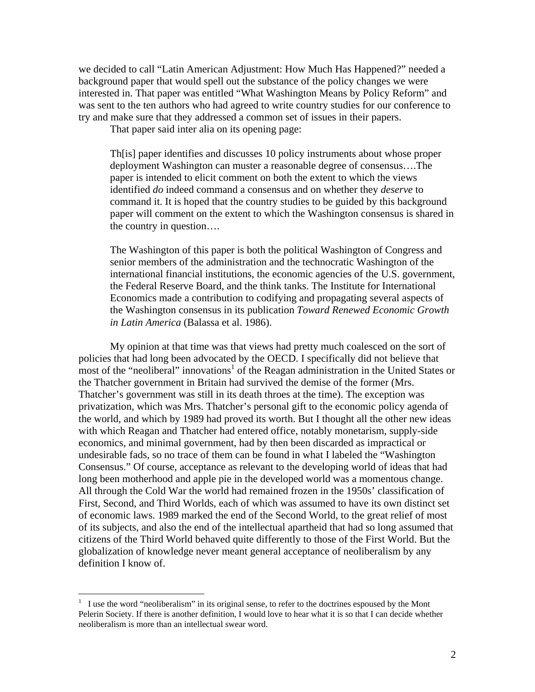we decided to call "Latin American Adjustment: How Much Has Happened?" needed a background paper that would spell out the substance of the policy changes we were interested in. That paper was entitled "What Washington Means by Policy Reform" and was sent to the ten authors who had agreed to write country studies for our conference to try and make sure that they addressed a common set of issues in their papers.

That paper said inter alia on its opening page:

Th[is] paper identifies and discusses 10 policy instruments about whose proper deployment Washington can muster a reasonable degree of consensus….The paper is intended to elicit comment on both the extent to which the views identified *do* indeed command a consensus and on whether they *deserve* to command it. It is hoped that the country studies to be guided by this background paper will comment on the extent to which the Washington consensus is shared in the country in question….

The Washington of this paper is both the political Washington of Congress and senior members of the administration and the technocratic Washington of the international financial institutions, the economic agencies of the U.S. government, the Federal Reserve Board, and the think tanks. The Institute for International Economics made a contribution to codifying and propagating several aspects of the Washington consensus in its publication *Toward Renewed Economic Growth in Latin America* (Balassa et al. 1986).

 My opinion at that time was that views had pretty much coalesced on the sort of policies that had long been advocated by the OECD. I specifically did not believe that most of the "neoliberal" innovations<sup>1</sup> of the Reagan administration in the United States or the Thatcher government in Britain had survived the demise of the former (Mrs. Thatcher's government was still in its death throes at the time). The exception was privatization, which was Mrs. Thatcher's personal gift to the economic policy agenda of the world, and which by 1989 had proved its worth. But I thought all the other new ideas with which Reagan and Thatcher had entered office, notably monetarism, supply-side economics, and minimal government, had by then been discarded as impractical or undesirable fads, so no trace of them can be found in what I labeled the "Washington Consensus." Of course, acceptance as relevant to the developing world of ideas that had long been motherhood and apple pie in the developed world was a momentous change. All through the Cold War the world had remained frozen in the 1950s' classification of First, Second, and Third Worlds, each of which was assumed to have its own distinct set of economic laws. 1989 marked the end of the Second World, to the great relief of most of its subjects, and also the end of the intellectual apartheid that had so long assumed that citizens of the Third World behaved quite differently to those of the First World. But the globalization of knowledge never meant general acceptance of neoliberalism by any definition I know of.

1

 $1$  I use the word "neoliberalism" in its original sense, to refer to the doctrines espoused by the Mont Pelerin Society. If there is another definition, I would love to hear what it is so that I can decide whether neoliberalism is more than an intellectual swear word.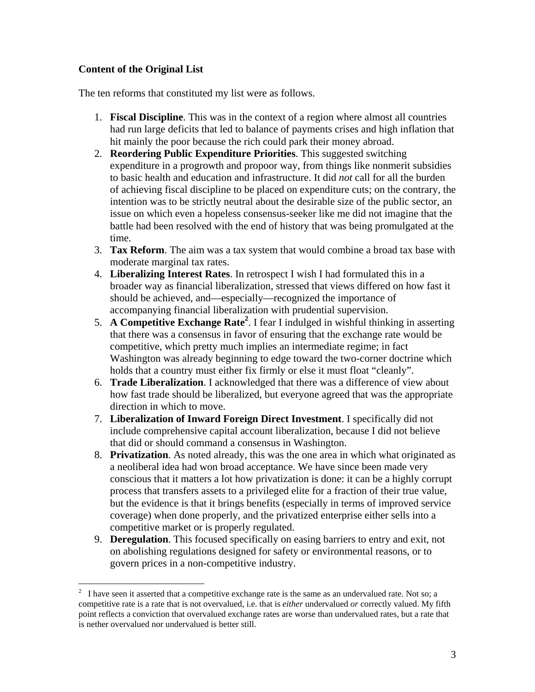# **Content of the Original List**

The ten reforms that constituted my list were as follows.

- 1. **Fiscal Discipline**. This was in the context of a region where almost all countries had run large deficits that led to balance of payments crises and high inflation that hit mainly the poor because the rich could park their money abroad.
- 2. **Reordering Public Expenditure Priorities**. This suggested switching expenditure in a progrowth and propoor way, from things like nonmerit subsidies to basic health and education and infrastructure. It did *not* call for all the burden of achieving fiscal discipline to be placed on expenditure cuts; on the contrary, the intention was to be strictly neutral about the desirable size of the public sector, an issue on which even a hopeless consensus-seeker like me did not imagine that the battle had been resolved with the end of history that was being promulgated at the time.
- 3. **Tax Reform**. The aim was a tax system that would combine a broad tax base with moderate marginal tax rates.
- 4. **Liberalizing Interest Rates**. In retrospect I wish I had formulated this in a broader way as financial liberalization, stressed that views differed on how fast it should be achieved, and—especially—recognized the importance of accompanying financial liberalization with prudential supervision.
- 5. **A Competitive Exchange Rate<sup>2</sup>** . I fear I indulged in wishful thinking in asserting that there was a consensus in favor of ensuring that the exchange rate would be competitive, which pretty much implies an intermediate regime; in fact Washington was already beginning to edge toward the two-corner doctrine which holds that a country must either fix firmly or else it must float "cleanly".
- 6. **Trade Liberalization**. I acknowledged that there was a difference of view about how fast trade should be liberalized, but everyone agreed that was the appropriate direction in which to move.
- 7. **Liberalization of Inward Foreign Direct Investment**. I specifically did not include comprehensive capital account liberalization, because I did not believe that did or should command a consensus in Washington.
- 8. **Privatization**. As noted already, this was the one area in which what originated as a neoliberal idea had won broad acceptance. We have since been made very conscious that it matters a lot how privatization is done: it can be a highly corrupt process that transfers assets to a privileged elite for a fraction of their true value, but the evidence is that it brings benefits (especially in terms of improved service coverage) when done properly, and the privatized enterprise either sells into a competitive market or is properly regulated.
- 9. **Deregulation**. This focused specifically on easing barriers to entry and exit, not on abolishing regulations designed for safety or environmental reasons, or to govern prices in a non-competitive industry.

<sup>&</sup>lt;sup>2</sup> I have seen it asserted that a competitive exchange rate is the same as an undervalued rate. Not so; a competitive rate is a rate that is not overvalued, i.e. that is *either* undervalued *or* correctly valued. My fifth point reflects a conviction that overvalued exchange rates are worse than undervalued rates, but a rate that is nether overvalued nor undervalued is better still.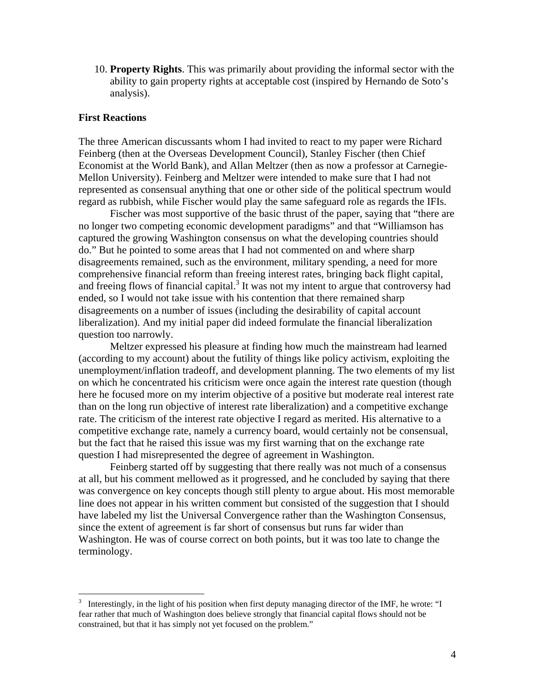10. **Property Rights**. This was primarily about providing the informal sector with the ability to gain property rights at acceptable cost (inspired by Hernando de Soto's analysis).

## **First Reactions**

 $\overline{a}$ 

The three American discussants whom I had invited to react to my paper were Richard Feinberg (then at the Overseas Development Council), Stanley Fischer (then Chief Economist at the World Bank), and Allan Meltzer (then as now a professor at Carnegie-Mellon University). Feinberg and Meltzer were intended to make sure that I had not represented as consensual anything that one or other side of the political spectrum would regard as rubbish, while Fischer would play the same safeguard role as regards the IFIs.

 Fischer was most supportive of the basic thrust of the paper, saying that "there are no longer two competing economic development paradigms" and that "Williamson has captured the growing Washington consensus on what the developing countries should do." But he pointed to some areas that I had not commented on and where sharp disagreements remained, such as the environment, military spending, a need for more comprehensive financial reform than freeing interest rates, bringing back flight capital, and freeing flows of financial capital.<sup>3</sup> It was not my intent to argue that controversy had ended, so I would not take issue with his contention that there remained sharp disagreements on a number of issues (including the desirability of capital account liberalization). And my initial paper did indeed formulate the financial liberalization question too narrowly.

 Meltzer expressed his pleasure at finding how much the mainstream had learned (according to my account) about the futility of things like policy activism, exploiting the unemployment/inflation tradeoff, and development planning. The two elements of my list on which he concentrated his criticism were once again the interest rate question (though here he focused more on my interim objective of a positive but moderate real interest rate than on the long run objective of interest rate liberalization) and a competitive exchange rate. The criticism of the interest rate objective I regard as merited. His alternative to a competitive exchange rate, namely a currency board, would certainly not be consensual, but the fact that he raised this issue was my first warning that on the exchange rate question I had misrepresented the degree of agreement in Washington.

 Feinberg started off by suggesting that there really was not much of a consensus at all, but his comment mellowed as it progressed, and he concluded by saying that there was convergence on key concepts though still plenty to argue about. His most memorable line does not appear in his written comment but consisted of the suggestion that I should have labeled my list the Universal Convergence rather than the Washington Consensus, since the extent of agreement is far short of consensus but runs far wider than Washington. He was of course correct on both points, but it was too late to change the terminology.

<sup>3</sup> Interestingly, in the light of his position when first deputy managing director of the IMF, he wrote: "I fear rather that much of Washington does believe strongly that financial capital flows should not be constrained, but that it has simply not yet focused on the problem."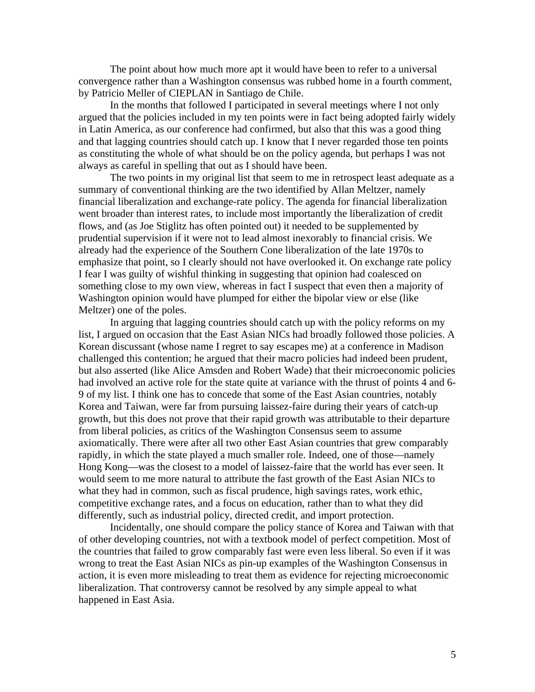The point about how much more apt it would have been to refer to a universal convergence rather than a Washington consensus was rubbed home in a fourth comment, by Patricio Meller of CIEPLAN in Santiago de Chile.

 In the months that followed I participated in several meetings where I not only argued that the policies included in my ten points were in fact being adopted fairly widely in Latin America, as our conference had confirmed, but also that this was a good thing and that lagging countries should catch up. I know that I never regarded those ten points as constituting the whole of what should be on the policy agenda, but perhaps I was not always as careful in spelling that out as I should have been.

 The two points in my original list that seem to me in retrospect least adequate as a summary of conventional thinking are the two identified by Allan Meltzer, namely financial liberalization and exchange-rate policy. The agenda for financial liberalization went broader than interest rates, to include most importantly the liberalization of credit flows, and (as Joe Stiglitz has often pointed out) it needed to be supplemented by prudential supervision if it were not to lead almost inexorably to financial crisis. We already had the experience of the Southern Cone liberalization of the late 1970s to emphasize that point, so I clearly should not have overlooked it. On exchange rate policy I fear I was guilty of wishful thinking in suggesting that opinion had coalesced on something close to my own view, whereas in fact I suspect that even then a majority of Washington opinion would have plumped for either the bipolar view or else (like Meltzer) one of the poles.

In arguing that lagging countries should catch up with the policy reforms on my list, I argued on occasion that the East Asian NICs had broadly followed those policies. A Korean discussant (whose name I regret to say escapes me) at a conference in Madison challenged this contention; he argued that their macro policies had indeed been prudent, but also asserted (like Alice Amsden and Robert Wade) that their microeconomic policies had involved an active role for the state quite at variance with the thrust of points 4 and 6- 9 of my list. I think one has to concede that some of the East Asian countries, notably Korea and Taiwan, were far from pursuing laissez-faire during their years of catch-up growth, but this does not prove that their rapid growth was attributable to their departure from liberal policies, as critics of the Washington Consensus seem to assume axiomatically. There were after all two other East Asian countries that grew comparably rapidly, in which the state played a much smaller role. Indeed, one of those—namely Hong Kong—was the closest to a model of laissez-faire that the world has ever seen. It would seem to me more natural to attribute the fast growth of the East Asian NICs to what they had in common, such as fiscal prudence, high savings rates, work ethic, competitive exchange rates, and a focus on education, rather than to what they did differently, such as industrial policy, directed credit, and import protection.

Incidentally, one should compare the policy stance of Korea and Taiwan with that of other developing countries, not with a textbook model of perfect competition. Most of the countries that failed to grow comparably fast were even less liberal. So even if it was wrong to treat the East Asian NICs as pin-up examples of the Washington Consensus in action, it is even more misleading to treat them as evidence for rejecting microeconomic liberalization. That controversy cannot be resolved by any simple appeal to what happened in East Asia.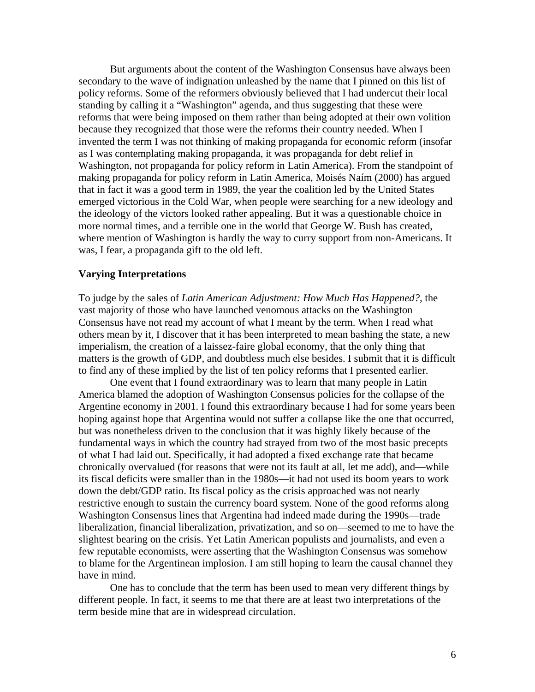But arguments about the content of the Washington Consensus have always been secondary to the wave of indignation unleashed by the name that I pinned on this list of policy reforms. Some of the reformers obviously believed that I had undercut their local standing by calling it a "Washington" agenda, and thus suggesting that these were reforms that were being imposed on them rather than being adopted at their own volition because they recognized that those were the reforms their country needed. When I invented the term I was not thinking of making propaganda for economic reform (insofar as I was contemplating making propaganda, it was propaganda for debt relief in Washington, not propaganda for policy reform in Latin America). From the standpoint of making propaganda for policy reform in Latin America, Moisés Naím (2000) has argued that in fact it was a good term in 1989, the year the coalition led by the United States emerged victorious in the Cold War, when people were searching for a new ideology and the ideology of the victors looked rather appealing. But it was a questionable choice in more normal times, and a terrible one in the world that George W. Bush has created, where mention of Washington is hardly the way to curry support from non-Americans. It was, I fear, a propaganda gift to the old left.

## **Varying Interpretations**

To judge by the sales of *Latin American Adjustment: How Much Has Happened?*, the vast majority of those who have launched venomous attacks on the Washington Consensus have not read my account of what I meant by the term. When I read what others mean by it, I discover that it has been interpreted to mean bashing the state, a new imperialism, the creation of a laissez-faire global economy, that the only thing that matters is the growth of GDP, and doubtless much else besides. I submit that it is difficult to find any of these implied by the list of ten policy reforms that I presented earlier.

 One event that I found extraordinary was to learn that many people in Latin America blamed the adoption of Washington Consensus policies for the collapse of the Argentine economy in 2001. I found this extraordinary because I had for some years been hoping against hope that Argentina would not suffer a collapse like the one that occurred, but was nonetheless driven to the conclusion that it was highly likely because of the fundamental ways in which the country had strayed from two of the most basic precepts of what I had laid out. Specifically, it had adopted a fixed exchange rate that became chronically overvalued (for reasons that were not its fault at all, let me add), and—while its fiscal deficits were smaller than in the 1980s—it had not used its boom years to work down the debt/GDP ratio. Its fiscal policy as the crisis approached was not nearly restrictive enough to sustain the currency board system. None of the good reforms along Washington Consensus lines that Argentina had indeed made during the 1990s—trade liberalization, financial liberalization, privatization, and so on—seemed to me to have the slightest bearing on the crisis. Yet Latin American populists and journalists, and even a few reputable economists, were asserting that the Washington Consensus was somehow to blame for the Argentinean implosion. I am still hoping to learn the causal channel they have in mind.

One has to conclude that the term has been used to mean very different things by different people. In fact, it seems to me that there are at least two interpretations of the term beside mine that are in widespread circulation.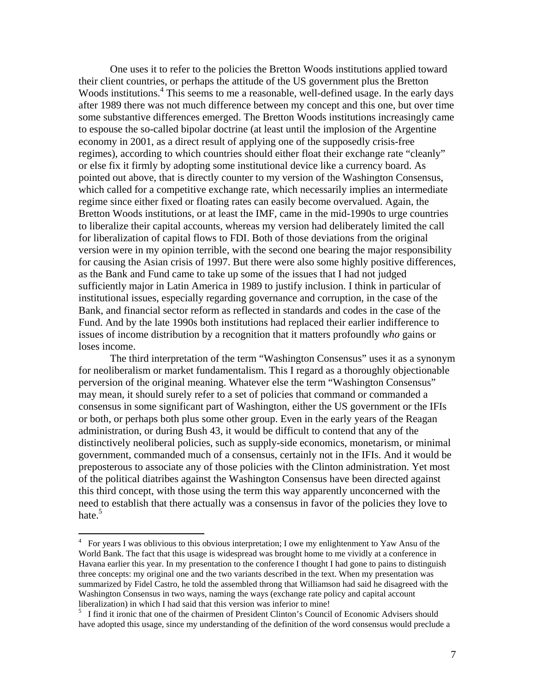One uses it to refer to the policies the Bretton Woods institutions applied toward their client countries, or perhaps the attitude of the US government plus the Bretton Woods institutions.<sup>4</sup> This seems to me a reasonable, well-defined usage. In the early days after 1989 there was not much difference between my concept and this one, but over time some substantive differences emerged. The Bretton Woods institutions increasingly came to espouse the so-called bipolar doctrine (at least until the implosion of the Argentine economy in 2001, as a direct result of applying one of the supposedly crisis-free regimes), according to which countries should either float their exchange rate "cleanly" or else fix it firmly by adopting some institutional device like a currency board. As pointed out above, that is directly counter to my version of the Washington Consensus, which called for a competitive exchange rate, which necessarily implies an intermediate regime since either fixed or floating rates can easily become overvalued. Again, the Bretton Woods institutions, or at least the IMF, came in the mid-1990s to urge countries to liberalize their capital accounts, whereas my version had deliberately limited the call for liberalization of capital flows to FDI. Both of those deviations from the original version were in my opinion terrible, with the second one bearing the major responsibility for causing the Asian crisis of 1997. But there were also some highly positive differences, as the Bank and Fund came to take up some of the issues that I had not judged sufficiently major in Latin America in 1989 to justify inclusion. I think in particular of institutional issues, especially regarding governance and corruption, in the case of the Bank, and financial sector reform as reflected in standards and codes in the case of the Fund. And by the late 1990s both institutions had replaced their earlier indifference to issues of income distribution by a recognition that it matters profoundly *who* gains or loses income.

 The third interpretation of the term "Washington Consensus" uses it as a synonym for neoliberalism or market fundamentalism. This I regard as a thoroughly objectionable perversion of the original meaning. Whatever else the term "Washington Consensus" may mean, it should surely refer to a set of policies that command or commanded a consensus in some significant part of Washington, either the US government or the IFIs or both, or perhaps both plus some other group. Even in the early years of the Reagan administration, or during Bush 43, it would be difficult to contend that any of the distinctively neoliberal policies, such as supply-side economics, monetarism, or minimal government, commanded much of a consensus, certainly not in the IFIs. And it would be preposterous to associate any of those policies with the Clinton administration. Yet most of the political diatribes against the Washington Consensus have been directed against this third concept, with those using the term this way apparently unconcerned with the need to establish that there actually was a consensus in favor of the policies they love to hate. $5$ 

 $\overline{a}$ 

<sup>&</sup>lt;sup>4</sup> For years I was oblivious to this obvious interpretation; I owe my enlightenment to Yaw Ansu of the World Bank. The fact that this usage is widespread was brought home to me vividly at a conference in Havana earlier this year. In my presentation to the conference I thought I had gone to pains to distinguish three concepts: my original one and the two variants described in the text. When my presentation was summarized by Fidel Castro, he told the assembled throng that Williamson had said he disagreed with the Washington Consensus in two ways, naming the ways (exchange rate policy and capital account liberalization) in which I had said that this version was inferior to mine!

<sup>&</sup>lt;sup>5</sup> I find it ironic that one of the chairmen of President Clinton's Council of Economic Advisers should have adopted this usage, since my understanding of the definition of the word consensus would preclude a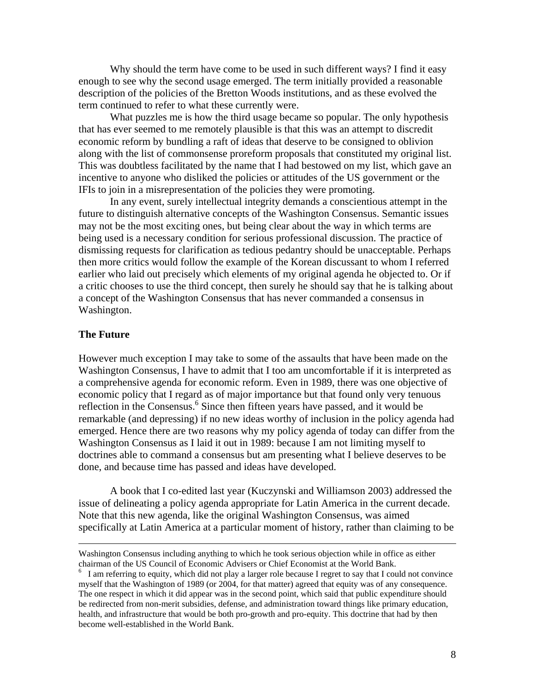Why should the term have come to be used in such different ways? I find it easy enough to see why the second usage emerged. The term initially provided a reasonable description of the policies of the Bretton Woods institutions, and as these evolved the term continued to refer to what these currently were.

 What puzzles me is how the third usage became so popular. The only hypothesis that has ever seemed to me remotely plausible is that this was an attempt to discredit economic reform by bundling a raft of ideas that deserve to be consigned to oblivion along with the list of commonsense proreform proposals that constituted my original list. This was doubtless facilitated by the name that I had bestowed on my list, which gave an incentive to anyone who disliked the policies or attitudes of the US government or the IFIs to join in a misrepresentation of the policies they were promoting.

In any event, surely intellectual integrity demands a conscientious attempt in the future to distinguish alternative concepts of the Washington Consensus. Semantic issues may not be the most exciting ones, but being clear about the way in which terms are being used is a necessary condition for serious professional discussion. The practice of dismissing requests for clarification as tedious pedantry should be unacceptable. Perhaps then more critics would follow the example of the Korean discussant to whom I referred earlier who laid out precisely which elements of my original agenda he objected to. Or if a critic chooses to use the third concept, then surely he should say that he is talking about a concept of the Washington Consensus that has never commanded a consensus in Washington.

## **The Future**

However much exception I may take to some of the assaults that have been made on the Washington Consensus, I have to admit that I too am uncomfortable if it is interpreted as a comprehensive agenda for economic reform. Even in 1989, there was one objective of economic policy that I regard as of major importance but that found only very tenuous reflection in the Consensus.<sup>6</sup> Since then fifteen years have passed, and it would be remarkable (and depressing) if no new ideas worthy of inclusion in the policy agenda had emerged. Hence there are two reasons why my policy agenda of today can differ from the Washington Consensus as I laid it out in 1989: because I am not limiting myself to doctrines able to command a consensus but am presenting what I believe deserves to be done, and because time has passed and ideas have developed.

 A book that I co-edited last year (Kuczynski and Williamson 2003) addressed the issue of delineating a policy agenda appropriate for Latin America in the current decade. Note that this new agenda, like the original Washington Consensus, was aimed specifically at Latin America at a particular moment of history, rather than claiming to be

Washington Consensus including anything to which he took serious objection while in office as either chairman of the US Council of Economic Advisers or Chief Economist at the World Bank. 6

 $6\,$  I am referring to equity, which did not play a larger role because I regret to say that I could not convince myself that the Washington of 1989 (or 2004, for that matter) agreed that equity was of any consequence. The one respect in which it did appear was in the second point, which said that public expenditure should be redirected from non-merit subsidies, defense, and administration toward things like primary education, health, and infrastructure that would be both pro-growth and pro-equity. This doctrine that had by then become well-established in the World Bank.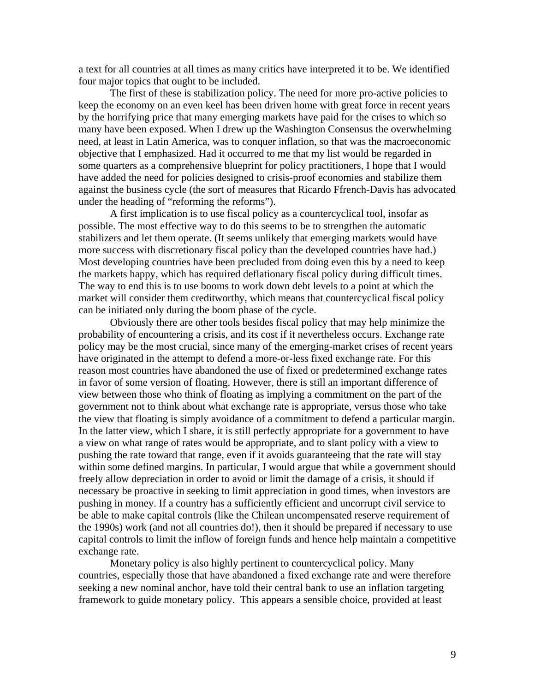a text for all countries at all times as many critics have interpreted it to be. We identified four major topics that ought to be included.

 The first of these is stabilization policy. The need for more pro-active policies to keep the economy on an even keel has been driven home with great force in recent years by the horrifying price that many emerging markets have paid for the crises to which so many have been exposed. When I drew up the Washington Consensus the overwhelming need, at least in Latin America, was to conquer inflation, so that was the macroeconomic objective that I emphasized. Had it occurred to me that my list would be regarded in some quarters as a comprehensive blueprint for policy practitioners, I hope that I would have added the need for policies designed to crisis-proof economies and stabilize them against the business cycle (the sort of measures that Ricardo Ffrench-Davis has advocated under the heading of "reforming the reforms").

 A first implication is to use fiscal policy as a countercyclical tool, insofar as possible. The most effective way to do this seems to be to strengthen the automatic stabilizers and let them operate. (It seems unlikely that emerging markets would have more success with discretionary fiscal policy than the developed countries have had.) Most developing countries have been precluded from doing even this by a need to keep the markets happy, which has required deflationary fiscal policy during difficult times. The way to end this is to use booms to work down debt levels to a point at which the market will consider them creditworthy, which means that countercyclical fiscal policy can be initiated only during the boom phase of the cycle.

 Obviously there are other tools besides fiscal policy that may help minimize the probability of encountering a crisis, and its cost if it nevertheless occurs. Exchange rate policy may be the most crucial, since many of the emerging-market crises of recent years have originated in the attempt to defend a more-or-less fixed exchange rate. For this reason most countries have abandoned the use of fixed or predetermined exchange rates in favor of some version of floating. However, there is still an important difference of view between those who think of floating as implying a commitment on the part of the government not to think about what exchange rate is appropriate, versus those who take the view that floating is simply avoidance of a commitment to defend a particular margin. In the latter view, which I share, it is still perfectly appropriate for a government to have a view on what range of rates would be appropriate, and to slant policy with a view to pushing the rate toward that range, even if it avoids guaranteeing that the rate will stay within some defined margins. In particular, I would argue that while a government should freely allow depreciation in order to avoid or limit the damage of a crisis, it should if necessary be proactive in seeking to limit appreciation in good times, when investors are pushing in money. If a country has a sufficiently efficient and uncorrupt civil service to be able to make capital controls (like the Chilean uncompensated reserve requirement of the 1990s) work (and not all countries do!), then it should be prepared if necessary to use capital controls to limit the inflow of foreign funds and hence help maintain a competitive exchange rate.

 Monetary policy is also highly pertinent to countercyclical policy. Many countries, especially those that have abandoned a fixed exchange rate and were therefore seeking a new nominal anchor, have told their central bank to use an inflation targeting framework to guide monetary policy. This appears a sensible choice, provided at least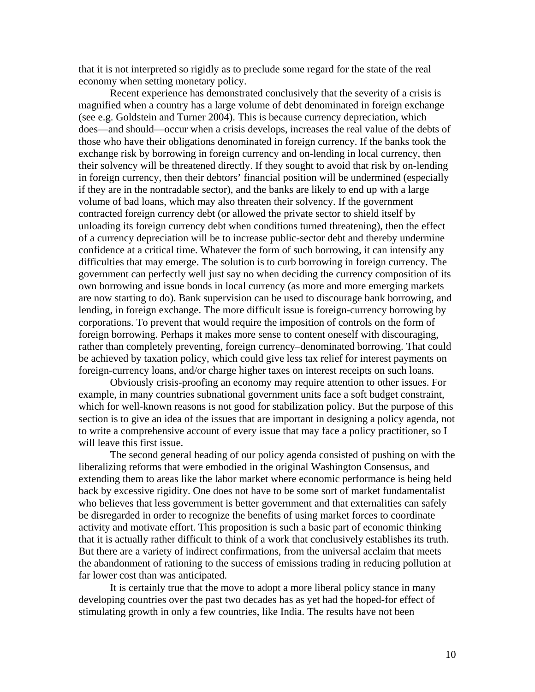that it is not interpreted so rigidly as to preclude some regard for the state of the real economy when setting monetary policy.

 Recent experience has demonstrated conclusively that the severity of a crisis is magnified when a country has a large volume of debt denominated in foreign exchange (see e.g. Goldstein and Turner 2004). This is because currency depreciation, which does—and should—occur when a crisis develops, increases the real value of the debts of those who have their obligations denominated in foreign currency. If the banks took the exchange risk by borrowing in foreign currency and on-lending in local currency, then their solvency will be threatened directly. If they sought to avoid that risk by on-lending in foreign currency, then their debtors' financial position will be undermined (especially if they are in the nontradable sector), and the banks are likely to end up with a large volume of bad loans, which may also threaten their solvency. If the government contracted foreign currency debt (or allowed the private sector to shield itself by unloading its foreign currency debt when conditions turned threatening), then the effect of a currency depreciation will be to increase public-sector debt and thereby undermine confidence at a critical time. Whatever the form of such borrowing, it can intensify any difficulties that may emerge. The solution is to curb borrowing in foreign currency. The government can perfectly well just say no when deciding the currency composition of its own borrowing and issue bonds in local currency (as more and more emerging markets are now starting to do). Bank supervision can be used to discourage bank borrowing, and lending, in foreign exchange. The more difficult issue is foreign-currency borrowing by corporations. To prevent that would require the imposition of controls on the form of foreign borrowing. Perhaps it makes more sense to content oneself with discouraging, rather than completely preventing, foreign currency–denominated borrowing. That could be achieved by taxation policy, which could give less tax relief for interest payments on foreign-currency loans, and/or charge higher taxes on interest receipts on such loans.

 Obviously crisis-proofing an economy may require attention to other issues. For example, in many countries subnational government units face a soft budget constraint, which for well-known reasons is not good for stabilization policy. But the purpose of this section is to give an idea of the issues that are important in designing a policy agenda, not to write a comprehensive account of every issue that may face a policy practitioner, so I will leave this first issue.

 The second general heading of our policy agenda consisted of pushing on with the liberalizing reforms that were embodied in the original Washington Consensus, and extending them to areas like the labor market where economic performance is being held back by excessive rigidity. One does not have to be some sort of market fundamentalist who believes that less government is better government and that externalities can safely be disregarded in order to recognize the benefits of using market forces to coordinate activity and motivate effort. This proposition is such a basic part of economic thinking that it is actually rather difficult to think of a work that conclusively establishes its truth. But there are a variety of indirect confirmations, from the universal acclaim that meets the abandonment of rationing to the success of emissions trading in reducing pollution at far lower cost than was anticipated.

 It is certainly true that the move to adopt a more liberal policy stance in many developing countries over the past two decades has as yet had the hoped-for effect of stimulating growth in only a few countries, like India. The results have not been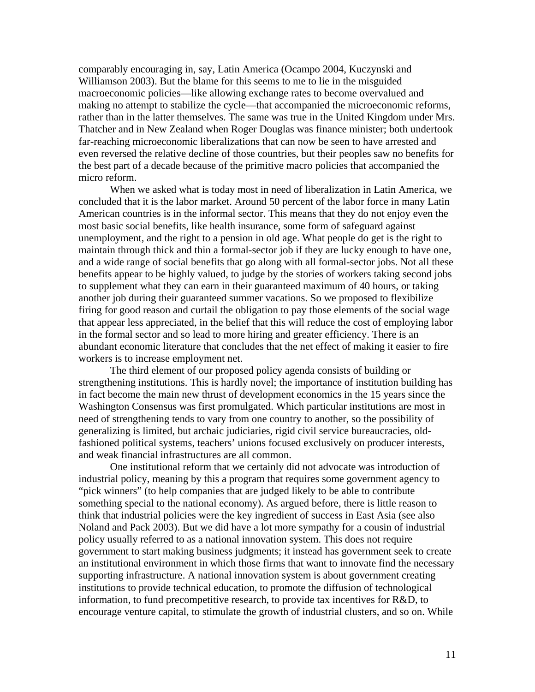comparably encouraging in, say, Latin America (Ocampo 2004, Kuczynski and Williamson 2003). But the blame for this seems to me to lie in the misguided macroeconomic policies—like allowing exchange rates to become overvalued and making no attempt to stabilize the cycle—that accompanied the microeconomic reforms, rather than in the latter themselves. The same was true in the United Kingdom under Mrs. Thatcher and in New Zealand when Roger Douglas was finance minister; both undertook far-reaching microeconomic liberalizations that can now be seen to have arrested and even reversed the relative decline of those countries, but their peoples saw no benefits for the best part of a decade because of the primitive macro policies that accompanied the micro reform.

 When we asked what is today most in need of liberalization in Latin America, we concluded that it is the labor market. Around 50 percent of the labor force in many Latin American countries is in the informal sector. This means that they do not enjoy even the most basic social benefits, like health insurance, some form of safeguard against unemployment, and the right to a pension in old age. What people do get is the right to maintain through thick and thin a formal-sector job if they are lucky enough to have one, and a wide range of social benefits that go along with all formal-sector jobs. Not all these benefits appear to be highly valued, to judge by the stories of workers taking second jobs to supplement what they can earn in their guaranteed maximum of 40 hours, or taking another job during their guaranteed summer vacations. So we proposed to flexibilize firing for good reason and curtail the obligation to pay those elements of the social wage that appear less appreciated, in the belief that this will reduce the cost of employing labor in the formal sector and so lead to more hiring and greater efficiency. There is an abundant economic literature that concludes that the net effect of making it easier to fire workers is to increase employment net.

 The third element of our proposed policy agenda consists of building or strengthening institutions. This is hardly novel; the importance of institution building has in fact become the main new thrust of development economics in the 15 years since the Washington Consensus was first promulgated. Which particular institutions are most in need of strengthening tends to vary from one country to another, so the possibility of generalizing is limited, but archaic judiciaries, rigid civil service bureaucracies, oldfashioned political systems, teachers' unions focused exclusively on producer interests, and weak financial infrastructures are all common.

One institutional reform that we certainly did not advocate was introduction of industrial policy, meaning by this a program that requires some government agency to "pick winners" (to help companies that are judged likely to be able to contribute something special to the national economy). As argued before, there is little reason to think that industrial policies were the key ingredient of success in East Asia (see also Noland and Pack 2003). But we did have a lot more sympathy for a cousin of industrial policy usually referred to as a national innovation system. This does not require government to start making business judgments; it instead has government seek to create an institutional environment in which those firms that want to innovate find the necessary supporting infrastructure. A national innovation system is about government creating institutions to provide technical education, to promote the diffusion of technological information, to fund precompetitive research, to provide tax incentives for R&D, to encourage venture capital, to stimulate the growth of industrial clusters, and so on. While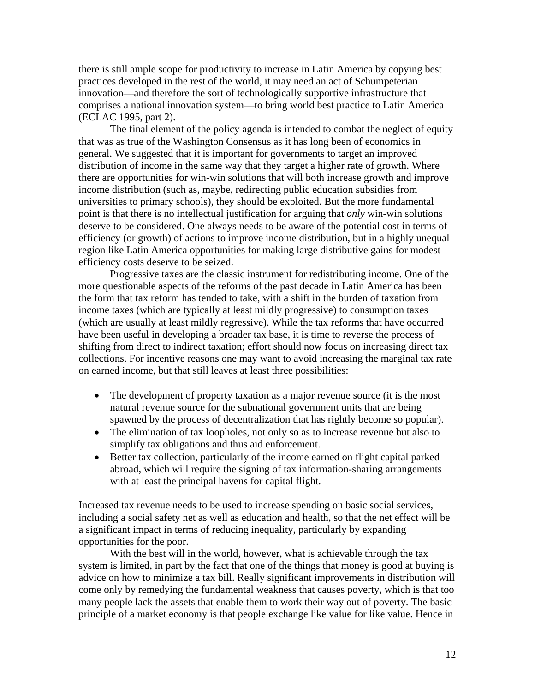there is still ample scope for productivity to increase in Latin America by copying best practices developed in the rest of the world, it may need an act of Schumpeterian innovation—and therefore the sort of technologically supportive infrastructure that comprises a national innovation system—to bring world best practice to Latin America (ECLAC 1995, part 2).

 The final element of the policy agenda is intended to combat the neglect of equity that was as true of the Washington Consensus as it has long been of economics in general. We suggested that it is important for governments to target an improved distribution of income in the same way that they target a higher rate of growth. Where there are opportunities for win-win solutions that will both increase growth and improve income distribution (such as, maybe, redirecting public education subsidies from universities to primary schools), they should be exploited. But the more fundamental point is that there is no intellectual justification for arguing that *only* win-win solutions deserve to be considered. One always needs to be aware of the potential cost in terms of efficiency (or growth) of actions to improve income distribution, but in a highly unequal region like Latin America opportunities for making large distributive gains for modest efficiency costs deserve to be seized.

 Progressive taxes are the classic instrument for redistributing income. One of the more questionable aspects of the reforms of the past decade in Latin America has been the form that tax reform has tended to take, with a shift in the burden of taxation from income taxes (which are typically at least mildly progressive) to consumption taxes (which are usually at least mildly regressive). While the tax reforms that have occurred have been useful in developing a broader tax base, it is time to reverse the process of shifting from direct to indirect taxation; effort should now focus on increasing direct tax collections. For incentive reasons one may want to avoid increasing the marginal tax rate on earned income, but that still leaves at least three possibilities:

- The development of property taxation as a major revenue source (it is the most natural revenue source for the subnational government units that are being spawned by the process of decentralization that has rightly become so popular).
- The elimination of tax loopholes, not only so as to increase revenue but also to simplify tax obligations and thus aid enforcement.
- Better tax collection, particularly of the income earned on flight capital parked abroad, which will require the signing of tax information-sharing arrangements with at least the principal havens for capital flight.

Increased tax revenue needs to be used to increase spending on basic social services, including a social safety net as well as education and health, so that the net effect will be a significant impact in terms of reducing inequality, particularly by expanding opportunities for the poor.

 With the best will in the world, however, what is achievable through the tax system is limited, in part by the fact that one of the things that money is good at buying is advice on how to minimize a tax bill. Really significant improvements in distribution will come only by remedying the fundamental weakness that causes poverty, which is that too many people lack the assets that enable them to work their way out of poverty. The basic principle of a market economy is that people exchange like value for like value. Hence in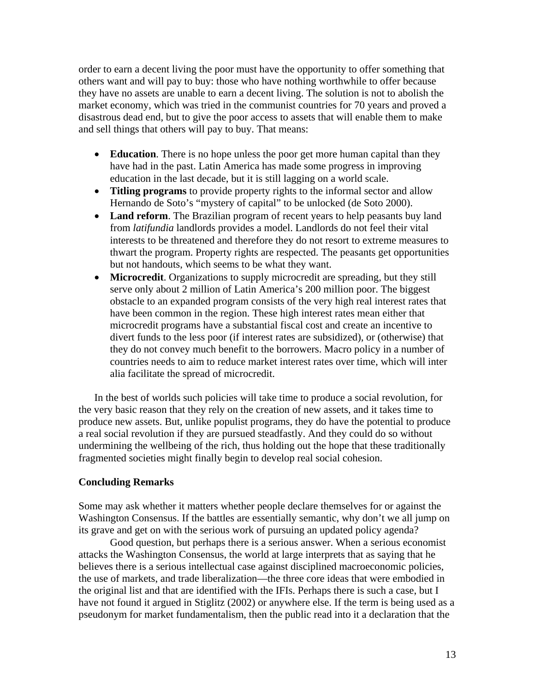order to earn a decent living the poor must have the opportunity to offer something that others want and will pay to buy: those who have nothing worthwhile to offer because they have no assets are unable to earn a decent living. The solution is not to abolish the market economy, which was tried in the communist countries for 70 years and proved a disastrous dead end, but to give the poor access to assets that will enable them to make and sell things that others will pay to buy. That means:

- **Education**. There is no hope unless the poor get more human capital than they have had in the past. Latin America has made some progress in improving education in the last decade, but it is still lagging on a world scale.
- **Titling programs** to provide property rights to the informal sector and allow Hernando de Soto's "mystery of capital" to be unlocked (de Soto 2000).
- **Land reform**. The Brazilian program of recent years to help peasants buy land from *latifundia* landlords provides a model. Landlords do not feel their vital interests to be threatened and therefore they do not resort to extreme measures to thwart the program. Property rights are respected. The peasants get opportunities but not handouts, which seems to be what they want.
- **Microcredit**. Organizations to supply microcredit are spreading, but they still serve only about 2 million of Latin America's 200 million poor. The biggest obstacle to an expanded program consists of the very high real interest rates that have been common in the region. These high interest rates mean either that microcredit programs have a substantial fiscal cost and create an incentive to divert funds to the less poor (if interest rates are subsidized), or (otherwise) that they do not convey much benefit to the borrowers. Macro policy in a number of countries needs to aim to reduce market interest rates over time, which will inter alia facilitate the spread of microcredit.

In the best of worlds such policies will take time to produce a social revolution, for the very basic reason that they rely on the creation of new assets, and it takes time to produce new assets. But, unlike populist programs, they do have the potential to produce a real social revolution if they are pursued steadfastly. And they could do so without undermining the wellbeing of the rich, thus holding out the hope that these traditionally fragmented societies might finally begin to develop real social cohesion.

## **Concluding Remarks**

Some may ask whether it matters whether people declare themselves for or against the Washington Consensus. If the battles are essentially semantic, why don't we all jump on its grave and get on with the serious work of pursuing an updated policy agenda?

 Good question, but perhaps there is a serious answer. When a serious economist attacks the Washington Consensus, the world at large interprets that as saying that he believes there is a serious intellectual case against disciplined macroeconomic policies, the use of markets, and trade liberalization—the three core ideas that were embodied in the original list and that are identified with the IFIs. Perhaps there is such a case, but I have not found it argued in Stiglitz (2002) or anywhere else. If the term is being used as a pseudonym for market fundamentalism, then the public read into it a declaration that the